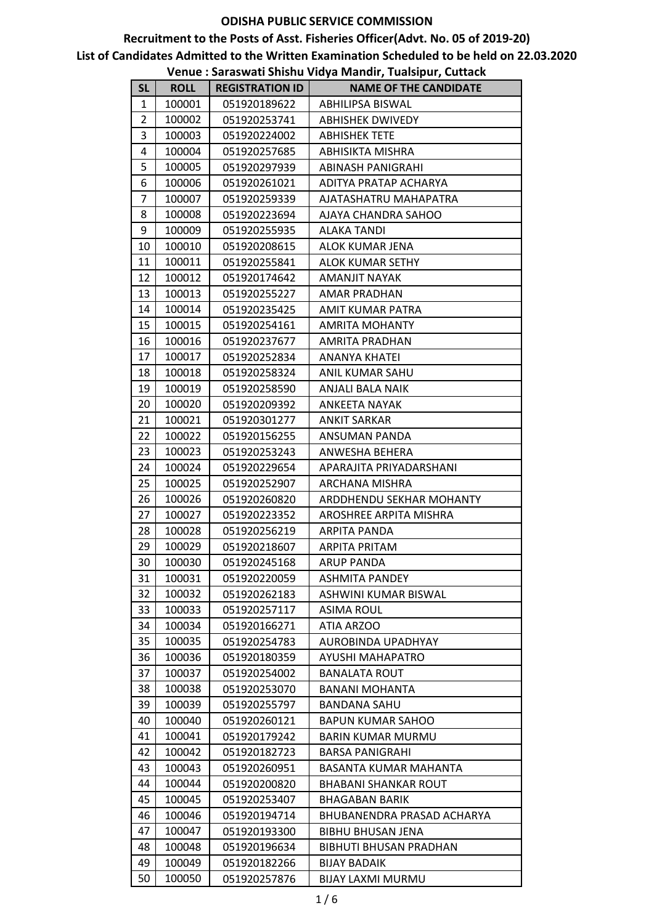|              |             |                        | venue : Jaraswati Jinshu viuya ivianun, Tuaisipur, Cuttach |
|--------------|-------------|------------------------|------------------------------------------------------------|
| <b>SL</b>    | <b>ROLL</b> | <b>REGISTRATION ID</b> | <b>NAME OF THE CANDIDATE</b>                               |
| $\mathbf{1}$ | 100001      | 051920189622           | ABHILIPSA BISWAL                                           |
| 2            | 100002      | 051920253741           | <b>ABHISHEK DWIVEDY</b>                                    |
| 3            | 100003      | 051920224002           | <b>ABHISHEK TETE</b>                                       |
| 4            | 100004      | 051920257685           | ABHISIKTA MISHRA                                           |
| 5            | 100005      | 051920297939           | <b>ABINASH PANIGRAHI</b>                                   |
| 6            | 100006      | 051920261021           | ADITYA PRATAP ACHARYA                                      |
| 7            | 100007      | 051920259339           | AJATASHATRU MAHAPATRA                                      |
| 8            | 100008      | 051920223694           | AJAYA CHANDRA SAHOO                                        |
| 9            | 100009      | 051920255935           | ALAKA TANDI                                                |
| 10           | 100010      | 051920208615           | ALOK KUMAR JENA                                            |
| 11           | 100011      | 051920255841           | ALOK KUMAR SETHY                                           |
| 12           | 100012      | 051920174642           | AMANJIT NAYAK                                              |
| 13           | 100013      | 051920255227           | AMAR PRADHAN                                               |
| 14           | 100014      | 051920235425           | AMIT KUMAR PATRA                                           |
| 15           | 100015      | 051920254161           | <b>AMRITA MOHANTY</b>                                      |
| 16           | 100016      | 051920237677           | <b>AMRITA PRADHAN</b>                                      |
| 17           | 100017      | 051920252834           | ANANYA KHATEI                                              |
| 18           | 100018      | 051920258324           | ANIL KUMAR SAHU                                            |
| 19           | 100019      | 051920258590           | ANJALI BALA NAIK                                           |
| 20           | 100020      | 051920209392           | <b>ANKEETA NAYAK</b>                                       |
| 21           | 100021      | 051920301277           | <b>ANKIT SARKAR</b>                                        |
| 22           | 100022      | 051920156255           | ANSUMAN PANDA                                              |
| 23           | 100023      | 051920253243           | ANWESHA BEHERA                                             |
| 24           | 100024      | 051920229654           | APARAJITA PRIYADARSHANI                                    |
| 25           | 100025      | 051920252907           | ARCHANA MISHRA                                             |
| 26           | 100026      | 051920260820           | ARDDHENDU SEKHAR MOHANTY                                   |
| 27           | 100027      | 051920223352           | AROSHREE ARPITA MISHRA                                     |
| 28           | 100028      | 051920256219           | ARPITA PANDA                                               |
| 29           | 100029      | 051920218607           | <b>ARPITA PRITAM</b>                                       |
| 30           | 100030      | 051920245168           | ARUP PANDA                                                 |
| 31           | 100031      | 051920220059           | <b>ASHMITA PANDEY</b>                                      |
| 32           | 100032      | 051920262183           | ASHWINI KUMAR BISWAL                                       |
| 33           | 100033      | 051920257117           | <b>ASIMA ROUL</b>                                          |
| 34           | 100034      | 051920166271           | ATIA ARZOO                                                 |
| 35           | 100035      | 051920254783           | AUROBINDA UPADHYAY                                         |
| 36           | 100036      | 051920180359           | AYUSHI MAHAPATRO                                           |
| 37           | 100037      | 051920254002           | <b>BANALATA ROUT</b>                                       |
| 38           | 100038      | 051920253070           | <b>BANANI MOHANTA</b>                                      |
| 39           | 100039      | 051920255797           | <b>BANDANA SAHU</b>                                        |
| 40           | 100040      | 051920260121           | <b>BAPUN KUMAR SAHOO</b>                                   |
| 41           | 100041      | 051920179242           | <b>BARIN KUMAR MURMU</b>                                   |
| 42           | 100042      | 051920182723           | <b>BARSA PANIGRAHI</b>                                     |
| 43           | 100043      | 051920260951           | BASANTA KUMAR MAHANTA                                      |
| 44           | 100044      | 051920200820           | <b>BHABANI SHANKAR ROUT</b>                                |
| 45           | 100045      | 051920253407           | <b>BHAGABAN BARIK</b>                                      |
| 46           | 100046      | 051920194714           | BHUBANENDRA PRASAD ACHARYA                                 |
| 47           | 100047      | 051920193300           | <b>BIBHU BHUSAN JENA</b>                                   |
| 48           | 100048      | 051920196634           | <b>BIBHUTI BHUSAN PRADHAN</b>                              |
| 49           | 100049      | 051920182266           | <b>BIJAY BADAIK</b>                                        |
| 50           | 100050      | 051920257876           | <b>BIJAY LAXMI MURMU</b>                                   |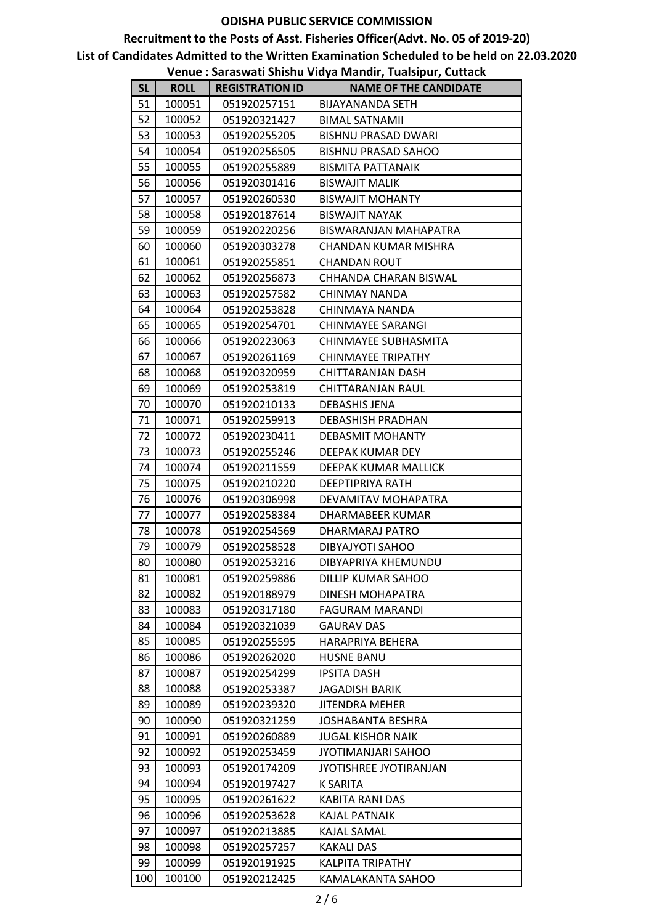|           |             |                        | venue : Jaraswati Jinshu viuya ivianun, Tuaisipur, Cuttach |
|-----------|-------------|------------------------|------------------------------------------------------------|
| <b>SL</b> | <b>ROLL</b> | <b>REGISTRATION ID</b> | <b>NAME OF THE CANDIDATE</b>                               |
| 51        | 100051      | 051920257151           | <b>BIJAYANANDA SETH</b>                                    |
| 52        | 100052      | 051920321427           | <b>BIMAL SATNAMII</b>                                      |
| 53        | 100053      | 051920255205           | <b>BISHNU PRASAD DWARI</b>                                 |
| 54        | 100054      | 051920256505           | <b>BISHNU PRASAD SAHOO</b>                                 |
| 55        | 100055      | 051920255889           | <b>BISMITA PATTANAIK</b>                                   |
| 56        | 100056      | 051920301416           | <b>BISWAJIT MALIK</b>                                      |
| 57        | 100057      | 051920260530           | <b>BISWAJIT MOHANTY</b>                                    |
| 58        | 100058      | 051920187614           | <b>BISWAJIT NAYAK</b>                                      |
| 59        | 100059      | 051920220256           | <b>BISWARANJAN MAHAPATRA</b>                               |
| 60        | 100060      | 051920303278           | CHANDAN KUMAR MISHRA                                       |
| 61        | 100061      | 051920255851           | <b>CHANDAN ROUT</b>                                        |
| 62        | 100062      | 051920256873           | CHHANDA CHARAN BISWAL                                      |
| 63        | 100063      | 051920257582           | CHINMAY NANDA                                              |
| 64        | 100064      | 051920253828           | CHINMAYA NANDA                                             |
| 65        | 100065      | 051920254701           | <b>CHINMAYEE SARANGI</b>                                   |
| 66        | 100066      | 051920223063           | CHINMAYEE SUBHASMITA                                       |
| 67        | 100067      | 051920261169           | CHINMAYEE TRIPATHY                                         |
| 68        | 100068      | 051920320959           | CHITTARANJAN DASH                                          |
| 69        | 100069      | 051920253819           | CHITTARANJAN RAUL                                          |
| 70        | 100070      | 051920210133           | <b>DEBASHIS JENA</b>                                       |
| 71        | 100071      | 051920259913           | DEBASHISH PRADHAN                                          |
| 72        | 100072      | 051920230411           | <b>DEBASMIT MOHANTY</b>                                    |
| 73        | 100073      | 051920255246           | DEEPAK KUMAR DEY                                           |
| 74        | 100074      | 051920211559           | DEEPAK KUMAR MALLICK                                       |
| 75        | 100075      | 051920210220           | DEEPTIPRIYA RATH                                           |
| 76        | 100076      | 051920306998           | DEVAMITAV MOHAPATRA                                        |
| 77        | 100077      | 051920258384           | DHARMABEER KUMAR                                           |
| 78        | 100078      | 051920254569           | DHARMARAJ PATRO                                            |
| 79        | 100079      | 051920258528           | DIBYAJYOTI SAHOO                                           |
| 80        | 100080      | 051920253216           | DIBYAPRIYA KHEMUNDU                                        |
| 81        | 100081      | 051920259886           | DILLIP KUMAR SAHOO                                         |
| 82        | 100082      | 051920188979           | DINESH MOHAPATRA                                           |
| 83        | 100083      | 051920317180           | <b>FAGURAM MARANDI</b>                                     |
| 84        | 100084      | 051920321039           | <b>GAURAV DAS</b>                                          |
| 85        | 100085      | 051920255595           | HARAPRIYA BEHERA                                           |
| 86        | 100086      | 051920262020           | <b>HUSNE BANU</b>                                          |
| 87        | 100087      | 051920254299           | <b>IPSITA DASH</b>                                         |
| 88        | 100088      | 051920253387           | <b>JAGADISH BARIK</b>                                      |
| 89        | 100089      | 051920239320           | <b>JITENDRA MEHER</b>                                      |
| 90        | 100090      | 051920321259           | JOSHABANTA BESHRA                                          |
| 91        | 100091      | 051920260889           | <b>JUGAL KISHOR NAIK</b>                                   |
| 92        | 100092      | 051920253459           | JYOTIMANJARI SAHOO                                         |
| 93        | 100093      | 051920174209           | JYOTISHREE JYOTIRANJAN                                     |
| 94        | 100094      | 051920197427           | <b>K SARITA</b>                                            |
| 95        | 100095      | 051920261622           | KABITA RANI DAS                                            |
| 96        | 100096      | 051920253628           | KAJAL PATNAIK                                              |
| 97        | 100097      | 051920213885           | KAJAL SAMAL                                                |
| 98        | 100098      | 051920257257           | <b>KAKALI DAS</b>                                          |
| 99        | 100099      | 051920191925           | <b>KALPITA TRIPATHY</b>                                    |
| 100       | 100100      | 051920212425           | KAMALAKANTA SAHOO                                          |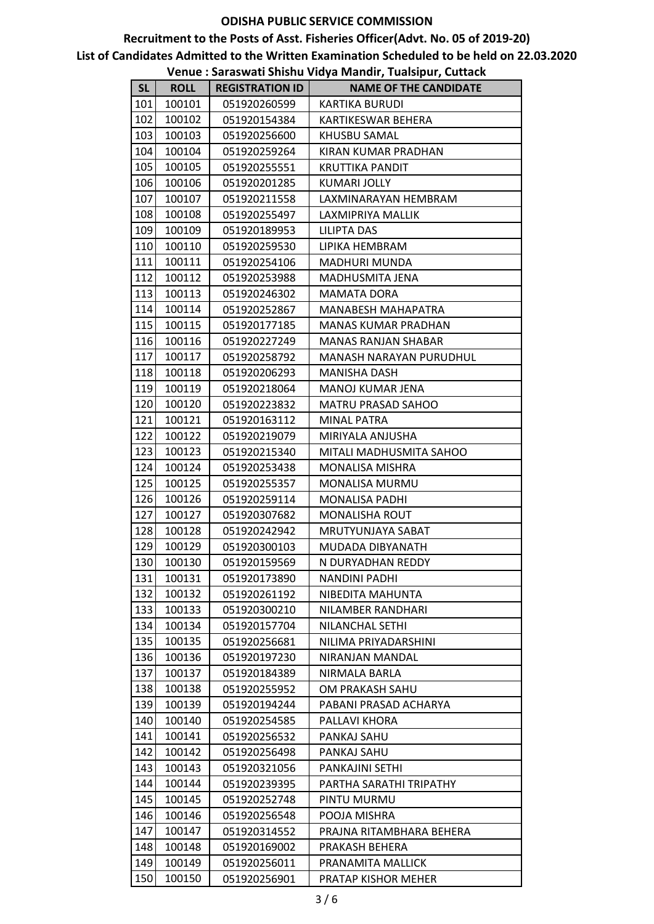|     |             |                        | venue : Jaraswati Jinshu viuya ivianun, Tuaisipur, Cuttach |
|-----|-------------|------------------------|------------------------------------------------------------|
| SL  | <b>ROLL</b> | <b>REGISTRATION ID</b> | <b>NAME OF THE CANDIDATE</b>                               |
| 101 | 100101      | 051920260599           | <b>KARTIKA BURUDI</b>                                      |
| 102 | 100102      | 051920154384           | KARTIKESWAR BEHERA                                         |
| 103 | 100103      | 051920256600           | KHUSBU SAMAL                                               |
| 104 | 100104      | 051920259264           | KIRAN KUMAR PRADHAN                                        |
| 105 | 100105      | 051920255551           | KRUTTIKA PANDIT                                            |
| 106 | 100106      | 051920201285           | <b>KUMARI JOLLY</b>                                        |
| 107 | 100107      | 051920211558           | LAXMINARAYAN HEMBRAM                                       |
| 108 | 100108      | 051920255497           | LAXMIPRIYA MALLIK                                          |
| 109 | 100109      | 051920189953           | LILIPTA DAS                                                |
| 110 | 100110      | 051920259530           | LIPIKA HEMBRAM                                             |
| 111 | 100111      | 051920254106           | <b>MADHURI MUNDA</b>                                       |
| 112 | 100112      | 051920253988           | MADHUSMITA JENA                                            |
| 113 | 100113      | 051920246302           | <b>MAMATA DORA</b>                                         |
| 114 | 100114      | 051920252867           | MANABESH MAHAPATRA                                         |
| 115 | 100115      | 051920177185           | MANAS KUMAR PRADHAN                                        |
| 116 | 100116      | 051920227249           | MANAS RANJAN SHABAR                                        |
| 117 | 100117      | 051920258792           | MANASH NARAYAN PURUDHUL                                    |
| 118 | 100118      | 051920206293           | MANISHA DASH                                               |
| 119 | 100119      | 051920218064           | MANOJ KUMAR JENA                                           |
| 120 | 100120      | 051920223832           | MATRU PRASAD SAHOO                                         |
| 121 | 100121      | 051920163112           | <b>MINAL PATRA</b>                                         |
| 122 | 100122      | 051920219079           | MIRIYALA ANJUSHA                                           |
| 123 | 100123      | 051920215340           | MITALI MADHUSMITA SAHOO                                    |
| 124 | 100124      | 051920253438           | <b>MONALISA MISHRA</b>                                     |
| 125 | 100125      | 051920255357           | MONALISA MURMU                                             |
| 126 | 100126      | 051920259114           | <b>MONALISA PADHI</b>                                      |
| 127 | 100127      | 051920307682           | <b>MONALISHA ROUT</b>                                      |
| 128 | 100128      | 051920242942           | MRUTYUNJAYA SABAT                                          |
| 129 | 100129      | 051920300103           | MUDADA DIBYANATH                                           |
| 130 | 100130      | 051920159569           | N DURYADHAN REDDY                                          |
| 131 | 100131      | 051920173890           | <b>NANDINI PADHI</b>                                       |
| 132 | 100132      | 051920261192           | NIBEDITA MAHUNTA                                           |
| 133 | 100133      | 051920300210           | NILAMBER RANDHARI                                          |
| 134 | 100134      | 051920157704           | NILANCHAL SETHI                                            |
| 135 | 100135      | 051920256681           | NILIMA PRIYADARSHINI                                       |
| 136 | 100136      | 051920197230           | NIRANJAN MANDAL                                            |
| 137 | 100137      | 051920184389           | NIRMALA BARLA                                              |
| 138 | 100138      | 051920255952           | OM PRAKASH SAHU                                            |
| 139 | 100139      | 051920194244           | PABANI PRASAD ACHARYA                                      |
| 140 | 100140      | 051920254585           | PALLAVI KHORA                                              |
| 141 | 100141      | 051920256532           | PANKAJ SAHU                                                |
| 142 | 100142      | 051920256498           | PANKAJ SAHU                                                |
| 143 | 100143      | 051920321056           | PANKAJINI SETHI                                            |
| 144 | 100144      | 051920239395           | PARTHA SARATHI TRIPATHY                                    |
| 145 | 100145      | 051920252748           | PINTU MURMU                                                |
| 146 | 100146      | 051920256548           | POOJA MISHRA                                               |
| 147 | 100147      | 051920314552           | PRAJNA RITAMBHARA BEHERA                                   |
| 148 | 100148      | 051920169002           | PRAKASH BEHERA                                             |
| 149 | 100149      | 051920256011           | PRANAMITA MALLICK                                          |
| 150 | 100150      | 051920256901           | PRATAP KISHOR MEHER                                        |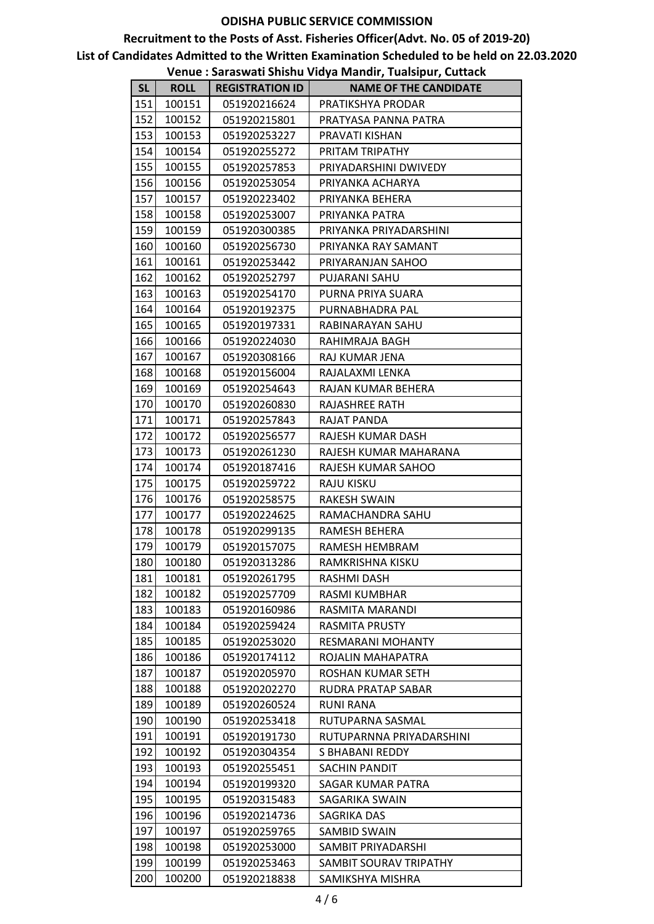|           |             |                        | venue . Jaraswati Jinshu viuya ivianun, Tuaisipur, Cuttach |
|-----------|-------------|------------------------|------------------------------------------------------------|
| <b>SL</b> | <b>ROLL</b> | <b>REGISTRATION ID</b> | <b>NAME OF THE CANDIDATE</b>                               |
| 151       | 100151      | 051920216624           | PRATIKSHYA PRODAR                                          |
| 152       | 100152      | 051920215801           | PRATYASA PANNA PATRA                                       |
| 153       | 100153      | 051920253227           | PRAVATI KISHAN                                             |
| 154       | 100154      | 051920255272           | PRITAM TRIPATHY                                            |
| 155       | 100155      | 051920257853           | PRIYADARSHINI DWIVEDY                                      |
| 156       | 100156      | 051920253054           | PRIYANKA ACHARYA                                           |
| 157       | 100157      | 051920223402           | PRIYANKA BEHERA                                            |
| 158       | 100158      | 051920253007           | PRIYANKA PATRA                                             |
| 159       | 100159      | 051920300385           | PRIYANKA PRIYADARSHINI                                     |
| 160       | 100160      | 051920256730           | PRIYANKA RAY SAMANT                                        |
| 161       | 100161      | 051920253442           | PRIYARANJAN SAHOO                                          |
| 162       | 100162      | 051920252797           | PUJARANI SAHU                                              |
| 163       | 100163      | 051920254170           | PURNA PRIYA SUARA                                          |
| 164       | 100164      | 051920192375           | PURNABHADRA PAL                                            |
| 165       | 100165      | 051920197331           | RABINARAYAN SAHU                                           |
| 166       | 100166      | 051920224030           | RAHIMRAJA BAGH                                             |
| 167       | 100167      | 051920308166           | RAJ KUMAR JENA                                             |
| 168       | 100168      | 051920156004           | RAJALAXMI LENKA                                            |
| 169       | 100169      | 051920254643           | RAJAN KUMAR BEHERA                                         |
| 170       | 100170      | 051920260830           | RAJASHREE RATH                                             |
| 171       | 100171      | 051920257843           | RAJAT PANDA                                                |
| 172       | 100172      | 051920256577           | RAJESH KUMAR DASH                                          |
| 173       | 100173      | 051920261230           | RAJESH KUMAR MAHARANA                                      |
| 174       | 100174      | 051920187416           | RAJESH KUMAR SAHOO                                         |
| 175       | 100175      | 051920259722           | RAJU KISKU                                                 |
| 176       | 100176      | 051920258575           | <b>RAKESH SWAIN</b>                                        |
| 177       | 100177      | 051920224625           | RAMACHANDRA SAHU                                           |
| 178       | 100178      | 051920299135           | RAMESH BEHERA                                              |
| 179       | 100179      | 051920157075           | RAMESH HEMBRAM                                             |
| 180       | 100180      | 051920313286           | RAMKRISHNA KISKU                                           |
| 181       | 100181      | 051920261795           | RASHMI DASH                                                |
| 182       | 100182      | 051920257709           | RASMI KUMBHAR                                              |
| 183       | 100183      | 051920160986           | RASMITA MARANDI                                            |
| 184       | 100184      | 051920259424           | RASMITA PRUSTY                                             |
| 185       | 100185      | 051920253020           | <b>RESMARANI MOHANTY</b>                                   |
| 186       | 100186      | 051920174112           | ROJALIN MAHAPATRA                                          |
| 187       | 100187      | 051920205970           | ROSHAN KUMAR SETH                                          |
| 188       | 100188      | 051920202270           | RUDRA PRATAP SABAR                                         |
| 189       | 100189      | 051920260524           | <b>RUNI RANA</b>                                           |
| 190       | 100190      | 051920253418           | RUTUPARNA SASMAL                                           |
| 191       | 100191      | 051920191730           | RUTUPARNNA PRIYADARSHINI                                   |
| 192       | 100192      | 051920304354           | S BHABANI REDDY                                            |
| 193       | 100193      | 051920255451           | SACHIN PANDIT                                              |
| 194       | 100194      | 051920199320           | <b>SAGAR KUMAR PATRA</b>                                   |
| 195       | 100195      | 051920315483           | SAGARIKA SWAIN                                             |
| 196       | 100196      | 051920214736           | SAGRIKA DAS                                                |
| 197       | 100197      | 051920259765           | SAMBID SWAIN                                               |
| 198       | 100198      | 051920253000           | SAMBIT PRIYADARSHI                                         |
| 199       | 100199      | 051920253463           | SAMBIT SOURAV TRIPATHY                                     |
| 200       | 100200      | 051920218838           | SAMIKSHYA MISHRA                                           |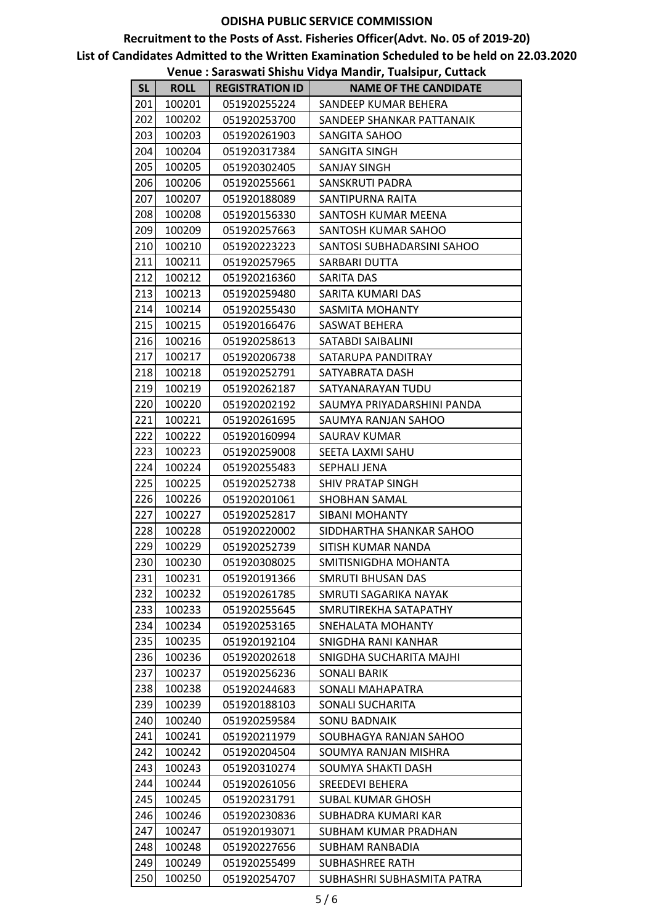|           |             |                        | venue : Jaraswan Jinsira viuya manun, ruaisipur, eunaen |
|-----------|-------------|------------------------|---------------------------------------------------------|
| <b>SL</b> | <b>ROLL</b> | <b>REGISTRATION ID</b> | <b>NAME OF THE CANDIDATE</b>                            |
| 201       | 100201      | 051920255224           | SANDEEP KUMAR BEHERA                                    |
| 202       | 100202      | 051920253700           | SANDEEP SHANKAR PATTANAIK                               |
| 203       | 100203      | 051920261903           | SANGITA SAHOO                                           |
| 204       | 100204      | 051920317384           | SANGITA SINGH                                           |
| 205       | 100205      | 051920302405           | SANJAY SINGH                                            |
| 206       | 100206      | 051920255661           | SANSKRUTI PADRA                                         |
| 207       | 100207      | 051920188089           | SANTIPURNA RAITA                                        |
| 208       | 100208      | 051920156330           | SANTOSH KUMAR MEENA                                     |
| 209       | 100209      | 051920257663           | SANTOSH KUMAR SAHOO                                     |
| 210       | 100210      | 051920223223           | SANTOSI SUBHADARSINI SAHOO                              |
| 211       | 100211      | 051920257965           | SARBARI DUTTA                                           |
| 212       | 100212      | 051920216360           | SARITA DAS                                              |
| 213       | 100213      | 051920259480           | SARITA KUMARI DAS                                       |
| 214       | 100214      | 051920255430           | <b>SASMITA MOHANTY</b>                                  |
| 215       | 100215      | 051920166476           | SASWAT BEHERA                                           |
| 216       | 100216      | 051920258613           | SATABDI SAIBALINI                                       |
| 217       | 100217      | 051920206738           | SATARUPA PANDITRAY                                      |
| 218       | 100218      | 051920252791           | SATYABRATA DASH                                         |
| 219       | 100219      | 051920262187           | SATYANARAYAN TUDU                                       |
| 220       | 100220      | 051920202192           | SAUMYA PRIYADARSHINI PANDA                              |
| 221       | 100221      | 051920261695           | SAUMYA RANJAN SAHOO                                     |
| 222       | 100222      | 051920160994           | SAURAV KUMAR                                            |
| 223       | 100223      | 051920259008           | SEETA LAXMI SAHU                                        |
| 224       | 100224      | 051920255483           | SEPHALI JENA                                            |
| 225       | 100225      | 051920252738           | SHIV PRATAP SINGH                                       |
| 226       | 100226      | 051920201061           | SHOBHAN SAMAL                                           |
| 227       | 100227      | 051920252817           | SIBANI MOHANTY                                          |
| 228       | 100228      | 051920220002           | SIDDHARTHA SHANKAR SAHOO                                |
| 229       | 100229      | 051920252739           | SITISH KUMAR NANDA                                      |
| 230       | 100230      | 051920308025           | SMITISNIGDHA MOHANTA                                    |
| 231       | 100231      | 051920191366           | SMRUTI BHUSAN DAS                                       |
| 232       | 100232      | 051920261785           | SMRUTI SAGARIKA NAYAK                                   |
| 233       | 100233      | 051920255645           | SMRUTIREKHA SATAPATHY                                   |
| 234       | 100234      | 051920253165           | SNEHALATA MOHANTY                                       |
| 235       | 100235      | 051920192104           | SNIGDHA RANI KANHAR                                     |
| 236       | 100236      | 051920202618           | SNIGDHA SUCHARITA MAJHI                                 |
| 237       | 100237      | 051920256236           | <b>SONALI BARIK</b>                                     |
| 238       | 100238      | 051920244683           | SONALI MAHAPATRA                                        |
| 239       | 100239      | 051920188103           | SONALI SUCHARITA                                        |
| 240       | 100240      | 051920259584           | SONU BADNAIK                                            |
| 241       | 100241      | 051920211979           | SOUBHAGYA RANJAN SAHOO                                  |
| 242       | 100242      | 051920204504           | SOUMYA RANJAN MISHRA                                    |
| 243       | 100243      | 051920310274           | SOUMYA SHAKTI DASH                                      |
| 244       | 100244      | 051920261056           | <b>SREEDEVI BEHERA</b>                                  |
| 245       | 100245      | 051920231791           | SUBAL KUMAR GHOSH                                       |
| 246       | 100246      | 051920230836           | SUBHADRA KUMARI KAR                                     |
| 247       | 100247      | 051920193071           | SUBHAM KUMAR PRADHAN                                    |
| 248       | 100248      | 051920227656           | SUBHAM RANBADIA                                         |
| 249       | 100249      | 051920255499           | SUBHASHREE RATH                                         |
| 250       | 100250      | 051920254707           | SUBHASHRI SUBHASMITA PATRA                              |